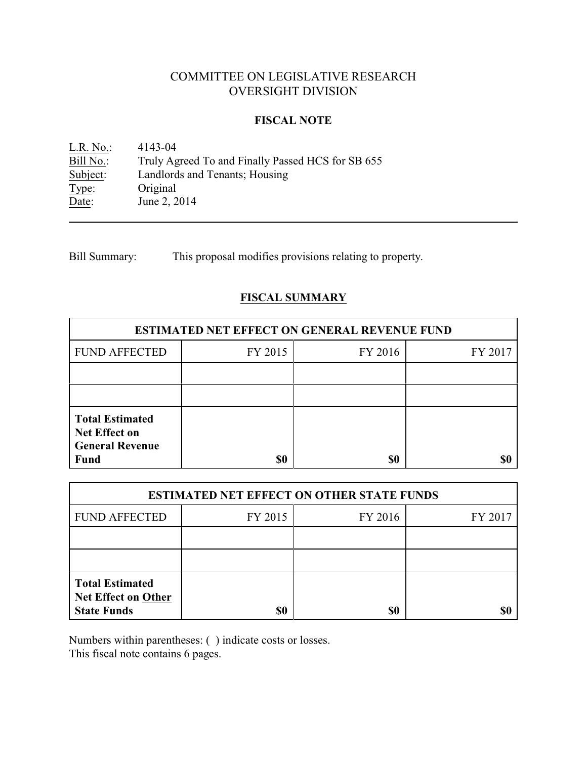## COMMITTEE ON LEGISLATIVE RESEARCH OVERSIGHT DIVISION

### **FISCAL NOTE**

L.R. No.: 4143-04<br>Bill No.: Truly Ag Bill No.: Truly Agreed To and Finally Passed HCS for SB 655<br>Subject: Landlords and Tenants; Housing Landlords and Tenants; Housing Type: Original Date: June 2, 2014

Bill Summary: This proposal modifies provisions relating to property.

## **FISCAL SUMMARY**

| <b>ESTIMATED NET EFFECT ON GENERAL REVENUE FUND</b>                      |         |         |         |  |  |
|--------------------------------------------------------------------------|---------|---------|---------|--|--|
| <b>FUND AFFECTED</b>                                                     | FY 2015 | FY 2016 | FY 2017 |  |  |
|                                                                          |         |         |         |  |  |
|                                                                          |         |         |         |  |  |
| <b>Total Estimated</b><br><b>Net Effect on</b><br><b>General Revenue</b> |         |         |         |  |  |
| <b>Fund</b>                                                              | \$0     | \$0     |         |  |  |

| <b>ESTIMATED NET EFFECT ON OTHER STATE FUNDS</b>                           |         |         |         |  |  |
|----------------------------------------------------------------------------|---------|---------|---------|--|--|
| <b>FUND AFFECTED</b>                                                       | FY 2015 | FY 2016 | FY 2017 |  |  |
|                                                                            |         |         |         |  |  |
|                                                                            |         |         |         |  |  |
| <b>Total Estimated</b><br><b>Net Effect on Other</b><br><b>State Funds</b> | \$0     | \$0     |         |  |  |

Numbers within parentheses: ( ) indicate costs or losses.

This fiscal note contains 6 pages.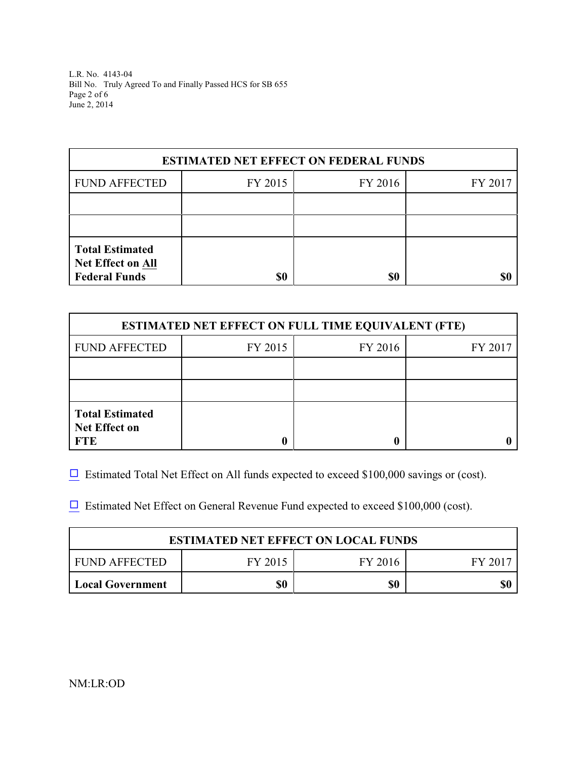L.R. No. 4143-04 Bill No. Truly Agreed To and Finally Passed HCS for SB 655 Page 2 of 6 June 2, 2014

| <b>ESTIMATED NET EFFECT ON FEDERAL FUNDS</b>                               |         |         |         |  |  |
|----------------------------------------------------------------------------|---------|---------|---------|--|--|
| <b>FUND AFFECTED</b>                                                       | FY 2015 | FY 2016 | FY 2017 |  |  |
|                                                                            |         |         |         |  |  |
|                                                                            |         |         |         |  |  |
| <b>Total Estimated</b><br><b>Net Effect on All</b><br><b>Federal Funds</b> | \$0     | \$0     |         |  |  |

| <b>ESTIMATED NET EFFECT ON FULL TIME EQUIVALENT (FTE)</b>    |         |         |         |  |  |
|--------------------------------------------------------------|---------|---------|---------|--|--|
| <b>FUND AFFECTED</b>                                         | FY 2015 | FY 2016 | FY 2017 |  |  |
|                                                              |         |         |         |  |  |
|                                                              |         |         |         |  |  |
| <b>Total Estimated</b><br><b>Net Effect on</b><br><b>FTE</b> |         |         |         |  |  |

 $\Box$  Estimated Total Net Effect on All funds expected to exceed \$100,000 savings or (cost).

 $\Box$  Estimated Net Effect on General Revenue Fund expected to exceed \$100,000 (cost).

| <b>ESTIMATED NET EFFECT ON LOCAL FUNDS</b> |     |     |     |  |
|--------------------------------------------|-----|-----|-----|--|
| FUND AFFECTED<br>FY 2016<br>FY 2015        |     |     |     |  |
| <b>Local Government</b>                    | \$0 | \$0 | \$( |  |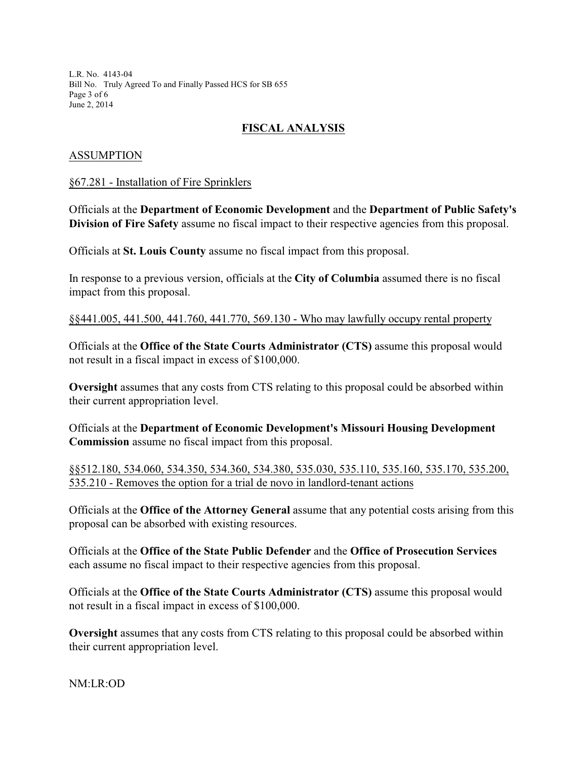L.R. No. 4143-04 Bill No. Truly Agreed To and Finally Passed HCS for SB 655 Page 3 of 6 June 2, 2014

# **FISCAL ANALYSIS**

## ASSUMPTION

#### §67.281 - Installation of Fire Sprinklers

Officials at the **Department of Economic Development** and the **Department of Public Safety's Division of Fire Safety** assume no fiscal impact to their respective agencies from this proposal.

Officials at **St. Louis County** assume no fiscal impact from this proposal.

In response to a previous version, officials at the **City of Columbia** assumed there is no fiscal impact from this proposal.

§§441.005, 441.500, 441.760, 441.770, 569.130 - Who may lawfully occupy rental property

Officials at the **Office of the State Courts Administrator (CTS)** assume this proposal would not result in a fiscal impact in excess of \$100,000.

**Oversight** assumes that any costs from CTS relating to this proposal could be absorbed within their current appropriation level.

Officials at the **Department of Economic Development's Missouri Housing Development Commission** assume no fiscal impact from this proposal.

§§512.180, 534.060, 534.350, 534.360, 534.380, 535.030, 535.110, 535.160, 535.170, 535.200, 535.210 - Removes the option for a trial de novo in landlord-tenant actions

Officials at the **Office of the Attorney General** assume that any potential costs arising from this proposal can be absorbed with existing resources.

Officials at the **Office of the State Public Defender** and the **Office of Prosecution Services** each assume no fiscal impact to their respective agencies from this proposal.

Officials at the **Office of the State Courts Administrator (CTS)** assume this proposal would not result in a fiscal impact in excess of \$100,000.

**Oversight** assumes that any costs from CTS relating to this proposal could be absorbed within their current appropriation level.

NM:LR:OD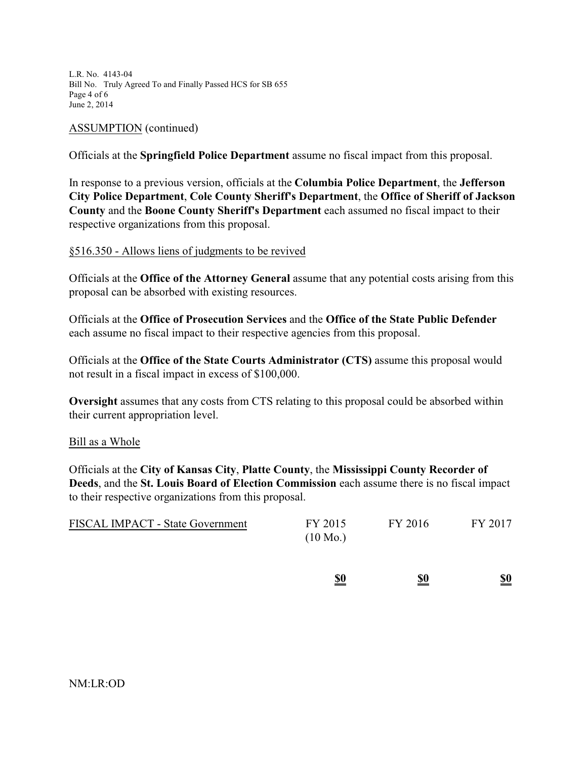L.R. No. 4143-04 Bill No. Truly Agreed To and Finally Passed HCS for SB 655 Page 4 of 6 June 2, 2014

#### ASSUMPTION (continued)

Officials at the **Springfield Police Department** assume no fiscal impact from this proposal.

In response to a previous version, officials at the **Columbia Police Department**, the **Jefferson City Police Department**, **Cole County Sheriff's Department**, the **Office of Sheriff of Jackson County** and the **Boone County Sheriff's Department** each assumed no fiscal impact to their respective organizations from this proposal.

### §516.350 - Allows liens of judgments to be revived

Officials at the **Office of the Attorney General** assume that any potential costs arising from this proposal can be absorbed with existing resources.

Officials at the **Office of Prosecution Services** and the **Office of the State Public Defender** each assume no fiscal impact to their respective agencies from this proposal.

Officials at the **Office of the State Courts Administrator (CTS)** assume this proposal would not result in a fiscal impact in excess of \$100,000.

**Oversight** assumes that any costs from CTS relating to this proposal could be absorbed within their current appropriation level.

#### Bill as a Whole

Officials at the **City of Kansas City**, **Platte County**, the **Mississippi County Recorder of Deeds**, and the **St. Louis Board of Election Commission** each assume there is no fiscal impact to their respective organizations from this proposal.

| <b>FISCAL IMPACT - State Government</b> | FY 2015            | FY 2016 | FY 2017 |
|-----------------------------------------|--------------------|---------|---------|
|                                         | $(10 \text{ Mo.})$ |         |         |

| \$0 | \$0 | \$0 |
|-----|-----|-----|
|     |     |     |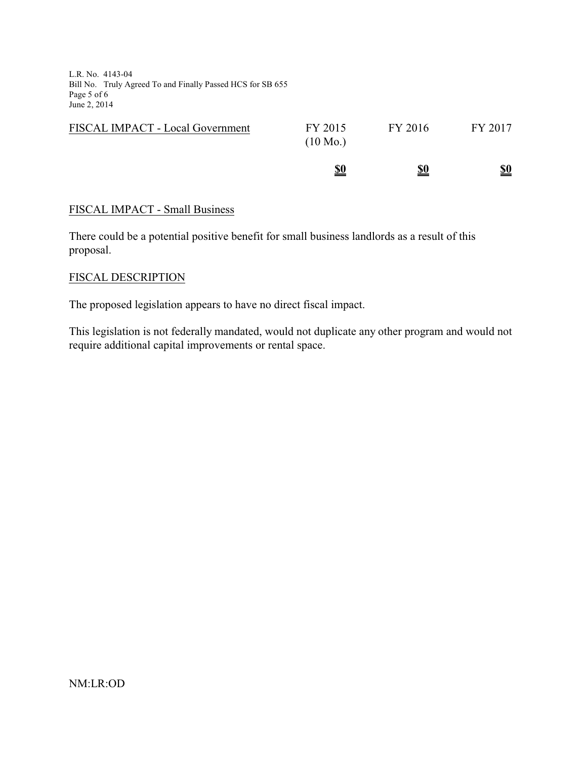L.R. No. 4143-04 Bill No. Truly Agreed To and Finally Passed HCS for SB 655 Page 5 of 6 June 2, 2014

| $(10 \text{ Mo.})$ |            |            |
|--------------------|------------|------------|
| <u>\$0</u>         | <u>\$0</u> | <u>\$0</u> |

### FISCAL IMPACT - Small Business

There could be a potential positive benefit for small business landlords as a result of this proposal.

### FISCAL DESCRIPTION

The proposed legislation appears to have no direct fiscal impact.

This legislation is not federally mandated, would not duplicate any other program and would not require additional capital improvements or rental space.